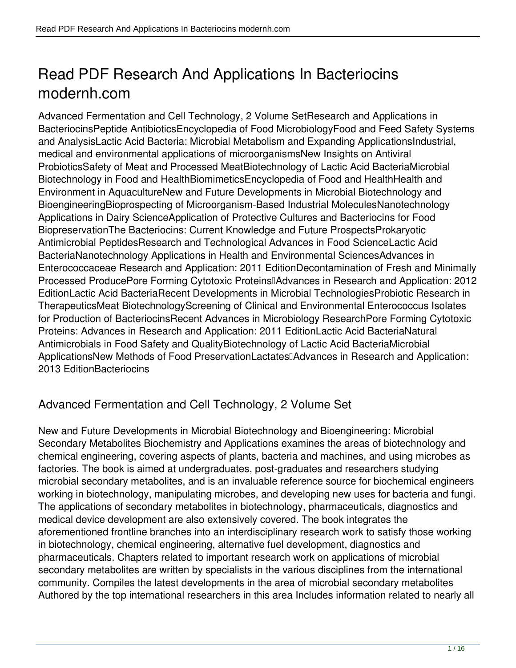# **Read PDF Research And Applications In Bacteriocins modernh.com**

Advanced Fermentation and Cell Technology, 2 Volume SetResearch and Applications in BacteriocinsPeptide AntibioticsEncyclopedia of Food MicrobiologyFood and Feed Safety Systems and AnalysisLactic Acid Bacteria: Microbial Metabolism and Expanding ApplicationsIndustrial, medical and environmental applications of microorganismsNew Insights on Antiviral ProbioticsSafety of Meat and Processed MeatBiotechnology of Lactic Acid BacteriaMicrobial Biotechnology in Food and HealthBiomimeticsEncyclopedia of Food and HealthHealth and Environment in AquacultureNew and Future Developments in Microbial Biotechnology and BioengineeringBioprospecting of Microorganism-Based Industrial MoleculesNanotechnology Applications in Dairy ScienceApplication of Protective Cultures and Bacteriocins for Food BiopreservationThe Bacteriocins: Current Knowledge and Future ProspectsProkaryotic Antimicrobial PeptidesResearch and Technological Advances in Food ScienceLactic Acid BacteriaNanotechnology Applications in Health and Environmental SciencesAdvances in Enterococcaceae Research and Application: 2011 EditionDecontamination of Fresh and Minimally Processed ProducePore Forming Cytotoxic Proteins<sup>[]</sup>Advances in Research and Application: 2012 EditionLactic Acid BacteriaRecent Developments in Microbial TechnologiesProbiotic Research in TherapeuticsMeat BiotechnologyScreening of Clinical and Environmental Enterococcus Isolates for Production of BacteriocinsRecent Advances in Microbiology ResearchPore Forming Cytotoxic Proteins: Advances in Research and Application: 2011 EditionLactic Acid BacteriaNatural Antimicrobials in Food Safety and QualityBiotechnology of Lactic Acid BacteriaMicrobial ApplicationsNew Methods of Food PreservationLactates—Advances in Research and Application: 2013 EditionBacteriocins

## **Advanced Fermentation and Cell Technology, 2 Volume Set**

New and Future Developments in Microbial Biotechnology and Bioengineering: Microbial Secondary Metabolites Biochemistry and Applications examines the areas of biotechnology and chemical engineering, covering aspects of plants, bacteria and machines, and using microbes as factories. The book is aimed at undergraduates, post-graduates and researchers studying microbial secondary metabolites, and is an invaluable reference source for biochemical engineers working in biotechnology, manipulating microbes, and developing new uses for bacteria and fungi. The applications of secondary metabolites in biotechnology, pharmaceuticals, diagnostics and medical device development are also extensively covered. The book integrates the aforementioned frontline branches into an interdisciplinary research work to satisfy those working in biotechnology, chemical engineering, alternative fuel development, diagnostics and pharmaceuticals. Chapters related to important research work on applications of microbial secondary metabolites are written by specialists in the various disciplines from the international community. Compiles the latest developments in the area of microbial secondary metabolites Authored by the top international researchers in this area Includes information related to nearly all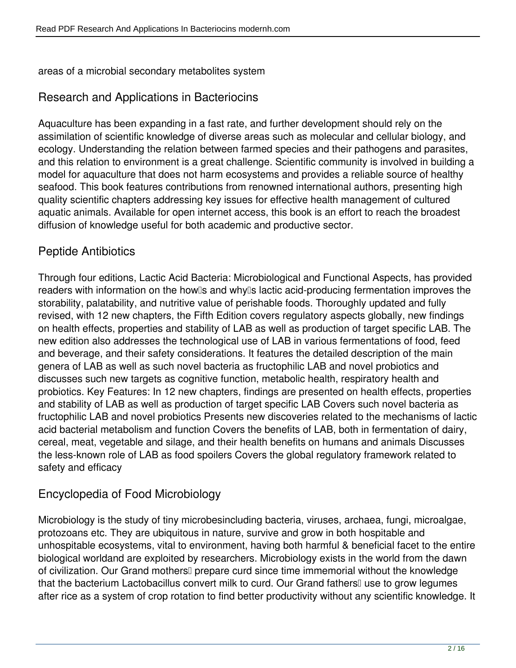areas of a microbial secondary metabolites system

#### **Research and Applications in Bacteriocins**

Aquaculture has been expanding in a fast rate, and further development should rely on the assimilation of scientific knowledge of diverse areas such as molecular and cellular biology, and ecology. Understanding the relation between farmed species and their pathogens and parasites, and this relation to environment is a great challenge. Scientific community is involved in building a model for aquaculture that does not harm ecosystems and provides a reliable source of healthy seafood. This book features contributions from renowned international authors, presenting high quality scientific chapters addressing key issues for effective health management of cultured aquatic animals. Available for open internet access, this book is an effort to reach the broadest diffusion of knowledge useful for both academic and productive sector.

#### **Peptide Antibiotics**

Through four editions, Lactic Acid Bacteria: Microbiological and Functional Aspects, has provided readers with information on the how<sup>[</sup>s and why<sup>[]</sup> lactic acid-producing fermentation improves the storability, palatability, and nutritive value of perishable foods. Thoroughly updated and fully revised, with 12 new chapters, the Fifth Edition covers regulatory aspects globally, new findings on health effects, properties and stability of LAB as well as production of target specific LAB. The new edition also addresses the technological use of LAB in various fermentations of food, feed and beverage, and their safety considerations. It features the detailed description of the main genera of LAB as well as such novel bacteria as fructophilic LAB and novel probiotics and discusses such new targets as cognitive function, metabolic health, respiratory health and probiotics. Key Features: In 12 new chapters, findings are presented on health effects, properties and stability of LAB as well as production of target specific LAB Covers such novel bacteria as fructophilic LAB and novel probiotics Presents new discoveries related to the mechanisms of lactic acid bacterial metabolism and function Covers the benefits of LAB, both in fermentation of dairy, cereal, meat, vegetable and silage, and their health benefits on humans and animals Discusses the less-known role of LAB as food spoilers Covers the global regulatory framework related to safety and efficacy

#### **Encyclopedia of Food Microbiology**

Microbiology is the study of tiny microbesincluding bacteria, viruses, archaea, fungi, microalgae, protozoans etc. They are ubiquitous in nature, survive and grow in both hospitable and unhospitable ecosystems, vital to environment, having both harmful & beneficial facet to the entire biological worldand are exploited by researchers. Microbiology exists in the world from the dawn of civilization. Our Grand mothers<sup>[]</sup> prepare curd since time immemorial without the knowledge that the bacterium Lactobacillus convert milk to curd. Our Grand fathers<sup>[]</sup> use to grow legumes after rice as a system of crop rotation to find better productivity without any scientific knowledge. It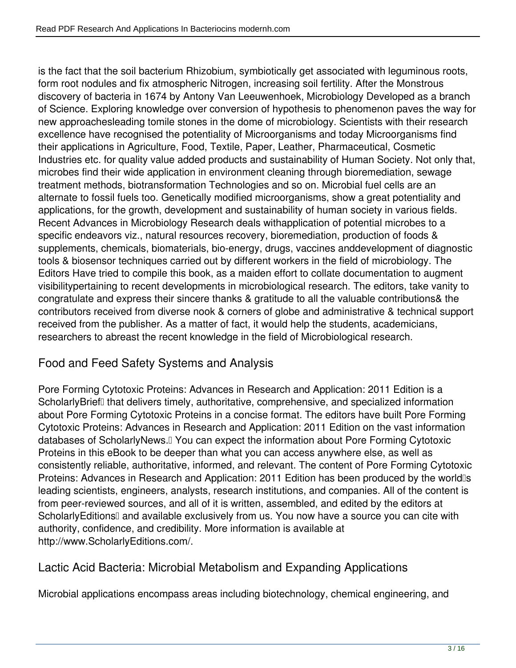is the fact that the soil bacterium Rhizobium, symbiotically get associated with leguminous roots, form root nodules and fix atmospheric Nitrogen, increasing soil fertility. After the Monstrous discovery of bacteria in 1674 by Antony Van Leeuwenhoek, Microbiology Developed as a branch of Science. Exploring knowledge over conversion of hypothesis to phenomenon paves the way for new approachesleading tomile stones in the dome of microbiology. Scientists with their research excellence have recognised the potentiality of Microorganisms and today Microorganisms find their applications in Agriculture, Food, Textile, Paper, Leather, Pharmaceutical, Cosmetic Industries etc. for quality value added products and sustainability of Human Society. Not only that, microbes find their wide application in environment cleaning through bioremediation, sewage treatment methods, biotransformation Technologies and so on. Microbial fuel cells are an alternate to fossil fuels too. Genetically modified microorganisms, show a great potentiality and applications, for the growth, development and sustainability of human society in various fields. Recent Advances in Microbiology Research deals withapplication of potential microbes to a specific endeavors viz., natural resources recovery, bioremediation, production of foods & supplements, chemicals, biomaterials, bio-energy, drugs, vaccines anddevelopment of diagnostic tools & biosensor techniques carried out by different workers in the field of microbiology. The Editors Have tried to compile this book, as a maiden effort to collate documentation to augment visibilitypertaining to recent developments in microbiological research. The editors, take vanity to congratulate and express their sincere thanks & gratitude to all the valuable contributions& the contributors received from diverse nook & corners of globe and administrative & technical support received from the publisher. As a matter of fact, it would help the students, academicians, researchers to abreast the recent knowledge in the field of Microbiological research.

## **Food and Feed Safety Systems and Analysis**

Pore Forming Cytotoxic Proteins: Advances in Research and Application: 2011 Edition is a ScholarlyBrief<sup>[]</sup> that delivers timely, authoritative, comprehensive, and specialized information about Pore Forming Cytotoxic Proteins in a concise format. The editors have built Pore Forming Cytotoxic Proteins: Advances in Research and Application: 2011 Edition on the vast information databases of ScholarlyNews.<sup>[]</sup> You can expect the information about Pore Forming Cytotoxic Proteins in this eBook to be deeper than what you can access anywhere else, as well as consistently reliable, authoritative, informed, and relevant. The content of Pore Forming Cytotoxic Proteins: Advances in Research and Application: 2011 Edition has been produced by the world<sup>lls</sup> leading scientists, engineers, analysts, research institutions, and companies. All of the content is from peer-reviewed sources, and all of it is written, assembled, and edited by the editors at ScholarlyEditionsⅡ and available exclusively from us. You now have a source you can cite with authority, confidence, and credibility. More information is available at http://www.ScholarlyEditions.com/.

#### **Lactic Acid Bacteria: Microbial Metabolism and Expanding Applications**

Microbial applications encompass areas including biotechnology, chemical engineering, and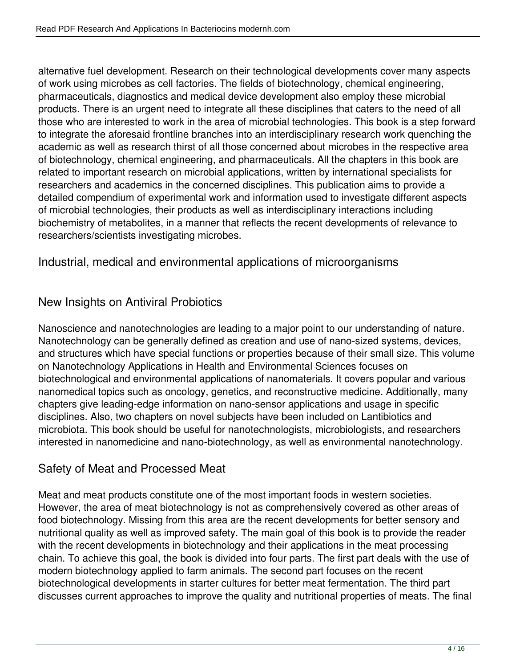alternative fuel development. Research on their technological developments cover many aspects of work using microbes as cell factories. The fields of biotechnology, chemical engineering, pharmaceuticals, diagnostics and medical device development also employ these microbial products. There is an urgent need to integrate all these disciplines that caters to the need of all those who are interested to work in the area of microbial technologies. This book is a step forward to integrate the aforesaid frontline branches into an interdisciplinary research work quenching the academic as well as research thirst of all those concerned about microbes in the respective area of biotechnology, chemical engineering, and pharmaceuticals. All the chapters in this book are related to important research on microbial applications, written by international specialists for researchers and academics in the concerned disciplines. This publication aims to provide a detailed compendium of experimental work and information used to investigate different aspects of microbial technologies, their products as well as interdisciplinary interactions including biochemistry of metabolites, in a manner that reflects the recent developments of relevance to researchers/scientists investigating microbes.

## **Industrial, medical and environmental applications of microorganisms**

## **New Insights on Antiviral Probiotics**

Nanoscience and nanotechnologies are leading to a major point to our understanding of nature. Nanotechnology can be generally defined as creation and use of nano-sized systems, devices, and structures which have special functions or properties because of their small size. This volume on Nanotechnology Applications in Health and Environmental Sciences focuses on biotechnological and environmental applications of nanomaterials. It covers popular and various nanomedical topics such as oncology, genetics, and reconstructive medicine. Additionally, many chapters give leading-edge information on nano-sensor applications and usage in specific disciplines. Also, two chapters on novel subjects have been included on Lantibiotics and microbiota. This book should be useful for nanotechnologists, microbiologists, and researchers interested in nanomedicine and nano-biotechnology, as well as environmental nanotechnology.

#### **Safety of Meat and Processed Meat**

Meat and meat products constitute one of the most important foods in western societies. However, the area of meat biotechnology is not as comprehensively covered as other areas of food biotechnology. Missing from this area are the recent developments for better sensory and nutritional quality as well as improved safety. The main goal of this book is to provide the reader with the recent developments in biotechnology and their applications in the meat processing chain. To achieve this goal, the book is divided into four parts. The first part deals with the use of modern biotechnology applied to farm animals. The second part focuses on the recent biotechnological developments in starter cultures for better meat fermentation. The third part discusses current approaches to improve the quality and nutritional properties of meats. The final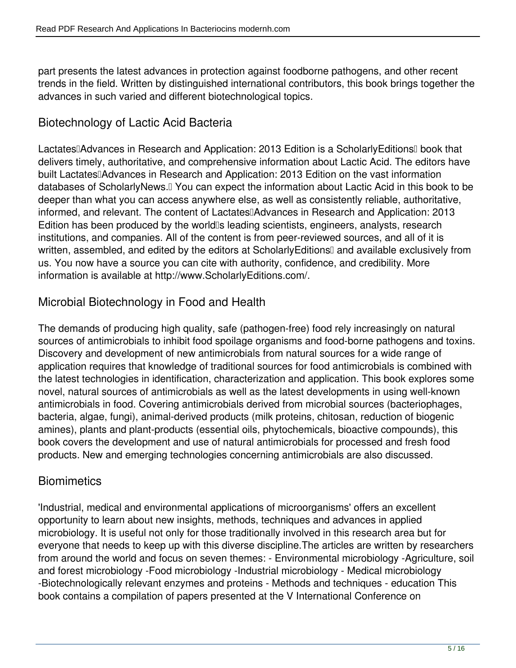part presents the latest advances in protection against foodborne pathogens, and other recent trends in the field. Written by distinguished international contributors, this book brings together the advances in such varied and different biotechnological topics.

# **Biotechnology of Lactic Acid Bacteria**

Lactates∏Advances in Research and Application: 2013 Edition is a ScholarlyEditions∏ book that delivers timely, authoritative, and comprehensive information about Lactic Acid. The editors have built Lactates Advances in Research and Application: 2013 Edition on the vast information databases of ScholarlyNews.<sup>[]</sup> You can expect the information about Lactic Acid in this book to be deeper than what you can access anywhere else, as well as consistently reliable, authoritative, informed, and relevant. The content of Lactates<sup>[</sup>Advances in Research and Application: 2013 Edition has been produced by the world<sup>®</sup> leading scientists, engineers, analysts, research institutions, and companies. All of the content is from peer-reviewed sources, and all of it is written, assembled, and edited by the editors at ScholarlyEditionsI and available exclusively from us. You now have a source you can cite with authority, confidence, and credibility. More information is available at http://www.ScholarlyEditions.com/.

## **Microbial Biotechnology in Food and Health**

The demands of producing high quality, safe (pathogen-free) food rely increasingly on natural sources of antimicrobials to inhibit food spoilage organisms and food-borne pathogens and toxins. Discovery and development of new antimicrobials from natural sources for a wide range of application requires that knowledge of traditional sources for food antimicrobials is combined with the latest technologies in identification, characterization and application. This book explores some novel, natural sources of antimicrobials as well as the latest developments in using well-known antimicrobials in food. Covering antimicrobials derived from microbial sources (bacteriophages, bacteria, algae, fungi), animal-derived products (milk proteins, chitosan, reduction of biogenic amines), plants and plant-products (essential oils, phytochemicals, bioactive compounds), this book covers the development and use of natural antimicrobials for processed and fresh food products. New and emerging technologies concerning antimicrobials are also discussed.

#### **Biomimetics**

'Industrial, medical and environmental applications of microorganisms' offers an excellent opportunity to learn about new insights, methods, techniques and advances in applied microbiology. It is useful not only for those traditionally involved in this research area but for everyone that needs to keep up with this diverse discipline.The articles are written by researchers from around the world and focus on seven themes: - Environmental microbiology -Agriculture, soil and forest microbiology -Food microbiology -Industrial microbiology - Medical microbiology -Biotechnologically relevant enzymes and proteins - Methods and techniques - education This book contains a compilation of papers presented at the V International Conference on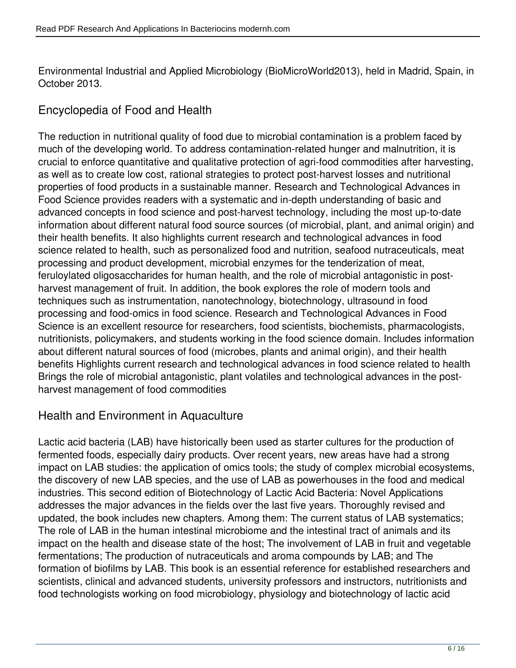Environmental Industrial and Applied Microbiology (BioMicroWorld2013), held in Madrid, Spain, in October 2013.

## **Encyclopedia of Food and Health**

The reduction in nutritional quality of food due to microbial contamination is a problem faced by much of the developing world. To address contamination-related hunger and malnutrition, it is crucial to enforce quantitative and qualitative protection of agri-food commodities after harvesting, as well as to create low cost, rational strategies to protect post-harvest losses and nutritional properties of food products in a sustainable manner. Research and Technological Advances in Food Science provides readers with a systematic and in-depth understanding of basic and advanced concepts in food science and post-harvest technology, including the most up-to-date information about different natural food source sources (of microbial, plant, and animal origin) and their health benefits. It also highlights current research and technological advances in food science related to health, such as personalized food and nutrition, seafood nutraceuticals, meat processing and product development, microbial enzymes for the tenderization of meat, feruloylated oligosaccharides for human health, and the role of microbial antagonistic in postharvest management of fruit. In addition, the book explores the role of modern tools and techniques such as instrumentation, nanotechnology, biotechnology, ultrasound in food processing and food-omics in food science. Research and Technological Advances in Food Science is an excellent resource for researchers, food scientists, biochemists, pharmacologists, nutritionists, policymakers, and students working in the food science domain. Includes information about different natural sources of food (microbes, plants and animal origin), and their health benefits Highlights current research and technological advances in food science related to health Brings the role of microbial antagonistic, plant volatiles and technological advances in the postharvest management of food commodities

#### **Health and Environment in Aquaculture**

Lactic acid bacteria (LAB) have historically been used as starter cultures for the production of fermented foods, especially dairy products. Over recent years, new areas have had a strong impact on LAB studies: the application of omics tools; the study of complex microbial ecosystems, the discovery of new LAB species, and the use of LAB as powerhouses in the food and medical industries. This second edition of Biotechnology of Lactic Acid Bacteria: Novel Applications addresses the major advances in the fields over the last five years. Thoroughly revised and updated, the book includes new chapters. Among them: The current status of LAB systematics; The role of LAB in the human intestinal microbiome and the intestinal tract of animals and its impact on the health and disease state of the host; The involvement of LAB in fruit and vegetable fermentations; The production of nutraceuticals and aroma compounds by LAB; and The formation of biofilms by LAB. This book is an essential reference for established researchers and scientists, clinical and advanced students, university professors and instructors, nutritionists and food technologists working on food microbiology, physiology and biotechnology of lactic acid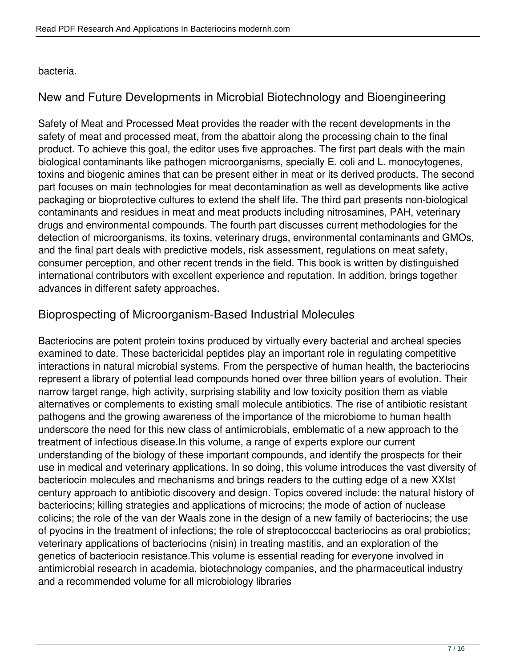#### bacteria.

## **New and Future Developments in Microbial Biotechnology and Bioengineering**

Safety of Meat and Processed Meat provides the reader with the recent developments in the safety of meat and processed meat, from the abattoir along the processing chain to the final product. To achieve this goal, the editor uses five approaches. The first part deals with the main biological contaminants like pathogen microorganisms, specially E. coli and L. monocytogenes, toxins and biogenic amines that can be present either in meat or its derived products. The second part focuses on main technologies for meat decontamination as well as developments like active packaging or bioprotective cultures to extend the shelf life. The third part presents non-biological contaminants and residues in meat and meat products including nitrosamines, PAH, veterinary drugs and environmental compounds. The fourth part discusses current methodologies for the detection of microorganisms, its toxins, veterinary drugs, environmental contaminants and GMOs, and the final part deals with predictive models, risk assessment, regulations on meat safety, consumer perception, and other recent trends in the field. This book is written by distinguished international contributors with excellent experience and reputation. In addition, brings together advances in different safety approaches.

#### **Bioprospecting of Microorganism-Based Industrial Molecules**

Bacteriocins are potent protein toxins produced by virtually every bacterial and archeal species examined to date. These bactericidal peptides play an important role in regulating competitive interactions in natural microbial systems. From the perspective of human health, the bacteriocins represent a library of potential lead compounds honed over three billion years of evolution. Their narrow target range, high activity, surprising stability and low toxicity position them as viable alternatives or complements to existing small molecule antibiotics. The rise of antibiotic resistant pathogens and the growing awareness of the importance of the microbiome to human health underscore the need for this new class of antimicrobials, emblematic of a new approach to the treatment of infectious disease.In this volume, a range of experts explore our current understanding of the biology of these important compounds, and identify the prospects for their use in medical and veterinary applications. In so doing, this volume introduces the vast diversity of bacteriocin molecules and mechanisms and brings readers to the cutting edge of a new XXIst century approach to antibiotic discovery and design. Topics covered include: the natural history of bacteriocins; killing strategies and applications of microcins; the mode of action of nuclease colicins; the role of the van der Waals zone in the design of a new family of bacteriocins; the use of pyocins in the treatment of infections; the role of streptococccal bacteriocins as oral probiotics; veterinary applications of bacteriocins (nisin) in treating mastitis, and an exploration of the genetics of bacteriocin resistance.This volume is essential reading for everyone involved in antimicrobial research in academia, biotechnology companies, and the pharmaceutical industry and a recommended volume for all microbiology libraries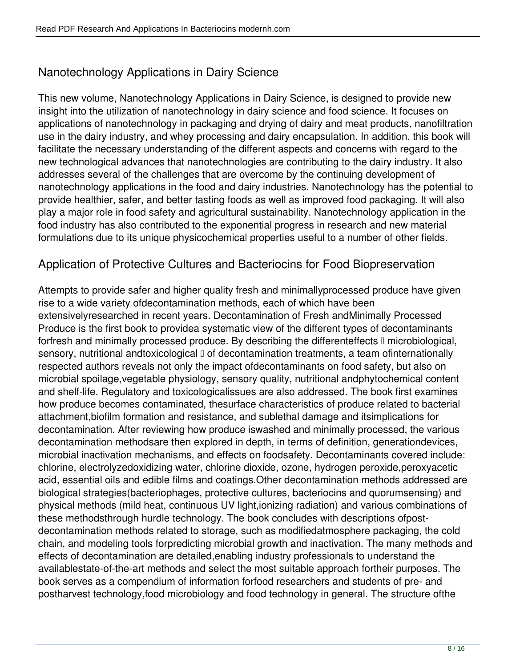# **Nanotechnology Applications in Dairy Science**

This new volume, Nanotechnology Applications in Dairy Science, is designed to provide new insight into the utilization of nanotechnology in dairy science and food science. It focuses on applications of nanotechnology in packaging and drying of dairy and meat products, nanofiltration use in the dairy industry, and whey processing and dairy encapsulation. In addition, this book will facilitate the necessary understanding of the different aspects and concerns with regard to the new technological advances that nanotechnologies are contributing to the dairy industry. It also addresses several of the challenges that are overcome by the continuing development of nanotechnology applications in the food and dairy industries. Nanotechnology has the potential to provide healthier, safer, and better tasting foods as well as improved food packaging. It will also play a major role in food safety and agricultural sustainability. Nanotechnology application in the food industry has also contributed to the exponential progress in research and new material formulations due to its unique physicochemical properties useful to a number of other fields.

#### **Application of Protective Cultures and Bacteriocins for Food Biopreservation**

Attempts to provide safer and higher quality fresh and minimallyprocessed produce have given rise to a wide variety ofdecontamination methods, each of which have been extensivelyresearched in recent years. Decontamination of Fresh andMinimally Processed Produce is the first book to providea systematic view of the different types of decontaminants forfresh and minimally processed produce. By describing the differenteffects I microbiological, sensory, nutritional andtoxicological  $\mathbb I$  of decontamination treatments, a team ofinternationally respected authors reveals not only the impact ofdecontaminants on food safety, but also on microbial spoilage,vegetable physiology, sensory quality, nutritional andphytochemical content and shelf-life. Regulatory and toxicologicalissues are also addressed. The book first examines how produce becomes contaminated, thesurface characteristics of produce related to bacterial attachment,biofilm formation and resistance, and sublethal damage and itsimplications for decontamination. After reviewing how produce iswashed and minimally processed, the various decontamination methodsare then explored in depth, in terms of definition, generationdevices, microbial inactivation mechanisms, and effects on foodsafety. Decontaminants covered include: chlorine, electrolyzedoxidizing water, chlorine dioxide, ozone, hydrogen peroxide,peroxyacetic acid, essential oils and edible films and coatings.Other decontamination methods addressed are biological strategies(bacteriophages, protective cultures, bacteriocins and quorumsensing) and physical methods (mild heat, continuous UV light,ionizing radiation) and various combinations of these methodsthrough hurdle technology. The book concludes with descriptions ofpostdecontamination methods related to storage, such as modifiedatmosphere packaging, the cold chain, and modeling tools forpredicting microbial growth and inactivation. The many methods and effects of decontamination are detailed,enabling industry professionals to understand the availablestate-of-the-art methods and select the most suitable approach fortheir purposes. The book serves as a compendium of information forfood researchers and students of pre- and postharvest technology,food microbiology and food technology in general. The structure ofthe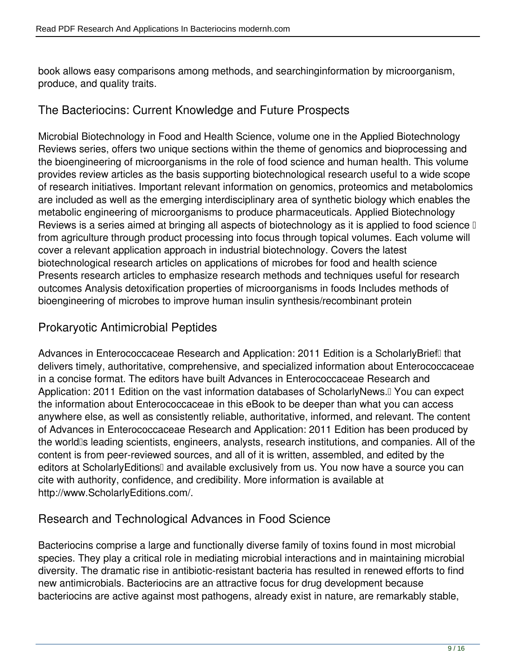book allows easy comparisons among methods, and searchinginformation by microorganism, produce, and quality traits.

#### **The Bacteriocins: Current Knowledge and Future Prospects**

Microbial Biotechnology in Food and Health Science, volume one in the Applied Biotechnology Reviews series, offers two unique sections within the theme of genomics and bioprocessing and the bioengineering of microorganisms in the role of food science and human health. This volume provides review articles as the basis supporting biotechnological research useful to a wide scope of research initiatives. Important relevant information on genomics, proteomics and metabolomics are included as well as the emerging interdisciplinary area of synthetic biology which enables the metabolic engineering of microorganisms to produce pharmaceuticals. Applied Biotechnology Reviews is a series aimed at bringing all aspects of biotechnology as it is applied to food science  $\mathbb I$ from agriculture through product processing into focus through topical volumes. Each volume will cover a relevant application approach in industrial biotechnology. Covers the latest biotechnological research articles on applications of microbes for food and health science Presents research articles to emphasize research methods and techniques useful for research outcomes Analysis detoxification properties of microorganisms in foods Includes methods of bioengineering of microbes to improve human insulin synthesis/recombinant protein

#### **Prokaryotic Antimicrobial Peptides**

Advances in Enterococcaceae Research and Application: 2011 Edition is a ScholarlyBrief<sup>[]</sup> that delivers timely, authoritative, comprehensive, and specialized information about Enterococcaceae in a concise format. The editors have built Advances in Enterococcaceae Research and Application: 2011 Edition on the vast information databases of ScholarlyNews.<sup>[]</sup> You can expect the information about Enterococcaceae in this eBook to be deeper than what you can access anywhere else, as well as consistently reliable, authoritative, informed, and relevant. The content of Advances in Enterococcaceae Research and Application: 2011 Edition has been produced by the world<sup>'s</sup> leading scientists, engineers, analysts, research institutions, and companies. All of the content is from peer-reviewed sources, and all of it is written, assembled, and edited by the editors at ScholarlyEditions<sup>[]</sup> and available exclusively from us. You now have a source you can cite with authority, confidence, and credibility. More information is available at http://www.ScholarlyEditions.com/.

## **Research and Technological Advances in Food Science**

Bacteriocins comprise a large and functionally diverse family of toxins found in most microbial species. They play a critical role in mediating microbial interactions and in maintaining microbial diversity. The dramatic rise in antibiotic-resistant bacteria has resulted in renewed efforts to find new antimicrobials. Bacteriocins are an attractive focus for drug development because bacteriocins are active against most pathogens, already exist in nature, are remarkably stable,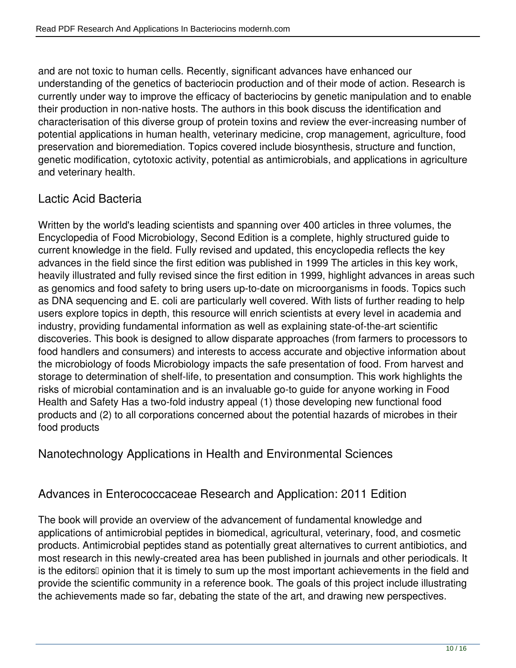and are not toxic to human cells. Recently, significant advances have enhanced our understanding of the genetics of bacteriocin production and of their mode of action. Research is currently under way to improve the efficacy of bacteriocins by genetic manipulation and to enable their production in non-native hosts. The authors in this book discuss the identification and characterisation of this diverse group of protein toxins and review the ever-increasing number of potential applications in human health, veterinary medicine, crop management, agriculture, food preservation and bioremediation. Topics covered include biosynthesis, structure and function, genetic modification, cytotoxic activity, potential as antimicrobials, and applications in agriculture and veterinary health.

## **Lactic Acid Bacteria**

Written by the world's leading scientists and spanning over 400 articles in three volumes, the Encyclopedia of Food Microbiology, Second Edition is a complete, highly structured guide to current knowledge in the field. Fully revised and updated, this encyclopedia reflects the key advances in the field since the first edition was published in 1999 The articles in this key work, heavily illustrated and fully revised since the first edition in 1999, highlight advances in areas such as genomics and food safety to bring users up-to-date on microorganisms in foods. Topics such as DNA sequencing and E. coli are particularly well covered. With lists of further reading to help users explore topics in depth, this resource will enrich scientists at every level in academia and industry, providing fundamental information as well as explaining state-of-the-art scientific discoveries. This book is designed to allow disparate approaches (from farmers to processors to food handlers and consumers) and interests to access accurate and objective information about the microbiology of foods Microbiology impacts the safe presentation of food. From harvest and storage to determination of shelf-life, to presentation and consumption. This work highlights the risks of microbial contamination and is an invaluable go-to guide for anyone working in Food Health and Safety Has a two-fold industry appeal (1) those developing new functional food products and (2) to all corporations concerned about the potential hazards of microbes in their food products

#### **Nanotechnology Applications in Health and Environmental Sciences**

#### **Advances in Enterococcaceae Research and Application: 2011 Edition**

The book will provide an overview of the advancement of fundamental knowledge and applications of antimicrobial peptides in biomedical, agricultural, veterinary, food, and cosmetic products. Antimicrobial peptides stand as potentially great alternatives to current antibiotics, and most research in this newly-created area has been published in journals and other periodicals. It is the editors<sup>[]</sup> opinion that it is timely to sum up the most important achievements in the field and provide the scientific community in a reference book. The goals of this project include illustrating the achievements made so far, debating the state of the art, and drawing new perspectives.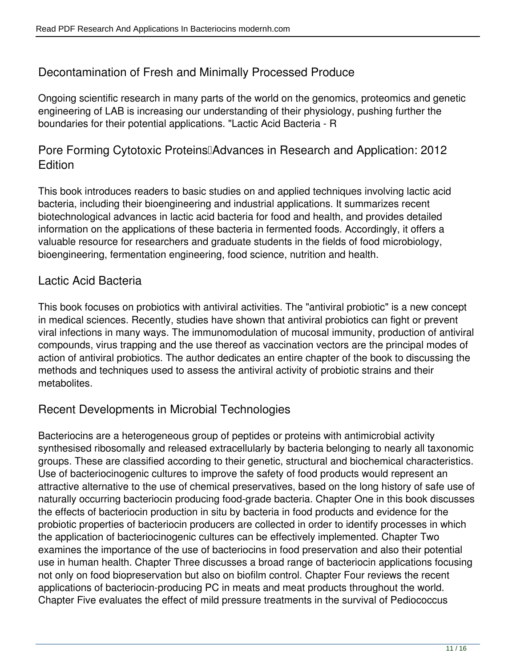## **Decontamination of Fresh and Minimally Processed Produce**

Ongoing scientific research in many parts of the world on the genomics, proteomics and genetic engineering of LAB is increasing our understanding of their physiology, pushing further the boundaries for their potential applications. "Lactic Acid Bacteria - R

**Pore Forming Cytotoxic Proteins** [Advances in Research and Application: 2012 **Edition**

This book introduces readers to basic studies on and applied techniques involving lactic acid bacteria, including their bioengineering and industrial applications. It summarizes recent biotechnological advances in lactic acid bacteria for food and health, and provides detailed information on the applications of these bacteria in fermented foods. Accordingly, it offers a valuable resource for researchers and graduate students in the fields of food microbiology, bioengineering, fermentation engineering, food science, nutrition and health.

#### **Lactic Acid Bacteria**

This book focuses on probiotics with antiviral activities. The "antiviral probiotic" is a new concept in medical sciences. Recently, studies have shown that antiviral probiotics can fight or prevent viral infections in many ways. The immunomodulation of mucosal immunity, production of antiviral compounds, virus trapping and the use thereof as vaccination vectors are the principal modes of action of antiviral probiotics. The author dedicates an entire chapter of the book to discussing the methods and techniques used to assess the antiviral activity of probiotic strains and their metabolites.

#### **Recent Developments in Microbial Technologies**

Bacteriocins are a heterogeneous group of peptides or proteins with antimicrobial activity synthesised ribosomally and released extracellularly by bacteria belonging to nearly all taxonomic groups. These are classified according to their genetic, structural and biochemical characteristics. Use of bacteriocinogenic cultures to improve the safety of food products would represent an attractive alternative to the use of chemical preservatives, based on the long history of safe use of naturally occurring bacteriocin producing food-grade bacteria. Chapter One in this book discusses the effects of bacteriocin production in situ by bacteria in food products and evidence for the probiotic properties of bacteriocin producers are collected in order to identify processes in which the application of bacteriocinogenic cultures can be effectively implemented. Chapter Two examines the importance of the use of bacteriocins in food preservation and also their potential use in human health. Chapter Three discusses a broad range of bacteriocin applications focusing not only on food biopreservation but also on biofilm control. Chapter Four reviews the recent applications of bacteriocin-producing PC in meats and meat products throughout the world. Chapter Five evaluates the effect of mild pressure treatments in the survival of Pediococcus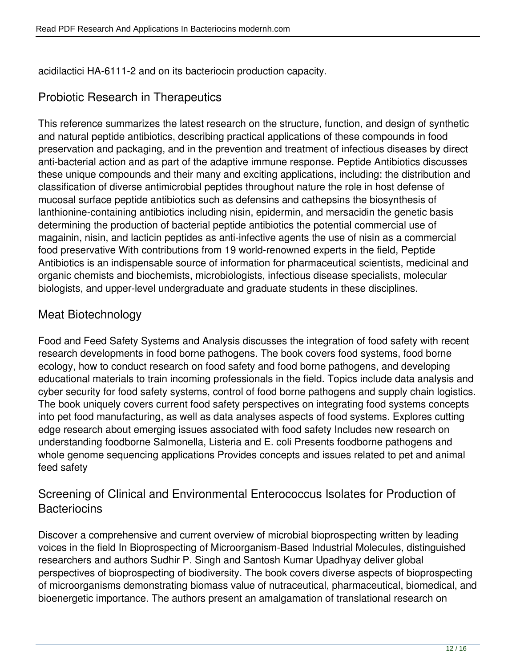acidilactici HA-6111-2 and on its bacteriocin production capacity.

## **Probiotic Research in Therapeutics**

This reference summarizes the latest research on the structure, function, and design of synthetic and natural peptide antibiotics, describing practical applications of these compounds in food preservation and packaging, and in the prevention and treatment of infectious diseases by direct anti-bacterial action and as part of the adaptive immune response. Peptide Antibiotics discusses these unique compounds and their many and exciting applications, including: the distribution and classification of diverse antimicrobial peptides throughout nature the role in host defense of mucosal surface peptide antibiotics such as defensins and cathepsins the biosynthesis of lanthionine-containing antibiotics including nisin, epidermin, and mersacidin the genetic basis determining the production of bacterial peptide antibiotics the potential commercial use of magainin, nisin, and lacticin peptides as anti-infective agents the use of nisin as a commercial food preservative With contributions from 19 world-renowned experts in the field, Peptide Antibiotics is an indispensable source of information for pharmaceutical scientists, medicinal and organic chemists and biochemists, microbiologists, infectious disease specialists, molecular biologists, and upper-level undergraduate and graduate students in these disciplines.

## **Meat Biotechnology**

Food and Feed Safety Systems and Analysis discusses the integration of food safety with recent research developments in food borne pathogens. The book covers food systems, food borne ecology, how to conduct research on food safety and food borne pathogens, and developing educational materials to train incoming professionals in the field. Topics include data analysis and cyber security for food safety systems, control of food borne pathogens and supply chain logistics. The book uniquely covers current food safety perspectives on integrating food systems concepts into pet food manufacturing, as well as data analyses aspects of food systems. Explores cutting edge research about emerging issues associated with food safety Includes new research on understanding foodborne Salmonella, Listeria and E. coli Presents foodborne pathogens and whole genome sequencing applications Provides concepts and issues related to pet and animal feed safety

#### **Screening of Clinical and Environmental Enterococcus Isolates for Production of Bacteriocins**

Discover a comprehensive and current overview of microbial bioprospecting written by leading voices in the field In Bioprospecting of Microorganism-Based Industrial Molecules, distinguished researchers and authors Sudhir P. Singh and Santosh Kumar Upadhyay deliver global perspectives of bioprospecting of biodiversity. The book covers diverse aspects of bioprospecting of microorganisms demonstrating biomass value of nutraceutical, pharmaceutical, biomedical, and bioenergetic importance. The authors present an amalgamation of translational research on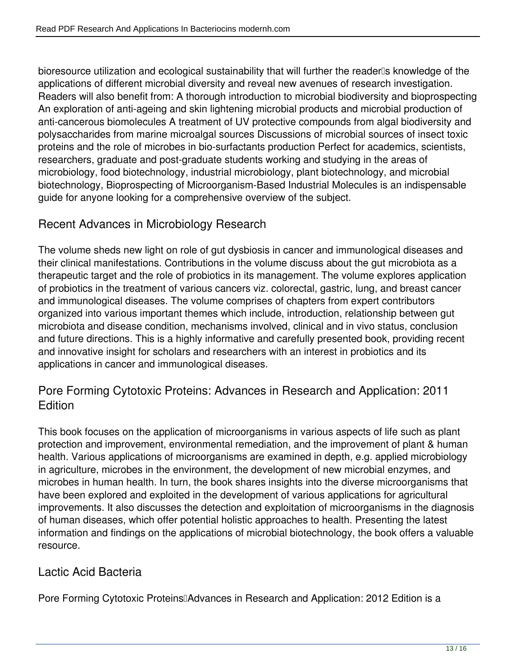bioresource utilization and ecological sustainability that will further the reader<sup>ne</sup>s knowledge of the applications of different microbial diversity and reveal new avenues of research investigation. Readers will also benefit from: A thorough introduction to microbial biodiversity and bioprospecting An exploration of anti-ageing and skin lightening microbial products and microbial production of anti-cancerous biomolecules A treatment of UV protective compounds from algal biodiversity and polysaccharides from marine microalgal sources Discussions of microbial sources of insect toxic proteins and the role of microbes in bio-surfactants production Perfect for academics, scientists, researchers, graduate and post-graduate students working and studying in the areas of microbiology, food biotechnology, industrial microbiology, plant biotechnology, and microbial biotechnology, Bioprospecting of Microorganism-Based Industrial Molecules is an indispensable guide for anyone looking for a comprehensive overview of the subject.

## **Recent Advances in Microbiology Research**

The volume sheds new light on role of gut dysbiosis in cancer and immunological diseases and their clinical manifestations. Contributions in the volume discuss about the gut microbiota as a therapeutic target and the role of probiotics in its management. The volume explores application of probiotics in the treatment of various cancers viz. colorectal, gastric, lung, and breast cancer and immunological diseases. The volume comprises of chapters from expert contributors organized into various important themes which include, introduction, relationship between gut microbiota and disease condition, mechanisms involved, clinical and in vivo status, conclusion and future directions. This is a highly informative and carefully presented book, providing recent and innovative insight for scholars and researchers with an interest in probiotics and its applications in cancer and immunological diseases.

#### **Pore Forming Cytotoxic Proteins: Advances in Research and Application: 2011 Edition**

This book focuses on the application of microorganisms in various aspects of life such as plant protection and improvement, environmental remediation, and the improvement of plant & human health. Various applications of microorganisms are examined in depth, e.g. applied microbiology in agriculture, microbes in the environment, the development of new microbial enzymes, and microbes in human health. In turn, the book shares insights into the diverse microorganisms that have been explored and exploited in the development of various applications for agricultural improvements. It also discusses the detection and exploitation of microorganisms in the diagnosis of human diseases, which offer potential holistic approaches to health. Presenting the latest information and findings on the applications of microbial biotechnology, the book offers a valuable resource.

#### **Lactic Acid Bacteria**

Pore Forming Cytotoxic Proteins<sup>[]</sup>Advances in Research and Application: 2012 Edition is a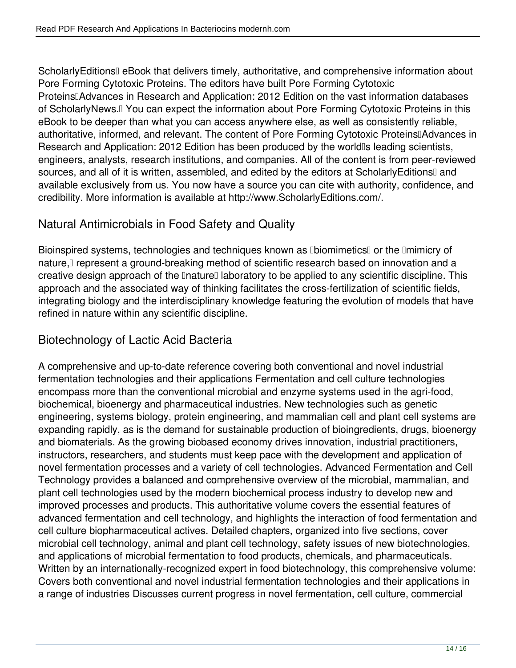ScholarlyEditionsⅡ eBook that delivers timely, authoritative, and comprehensive information about Pore Forming Cytotoxic Proteins. The editors have built Pore Forming Cytotoxic Proteins<sup>[]</sup>Advances in Research and Application: 2012 Edition on the vast information databases of ScholarlyNews.<sup>[]</sup> You can expect the information about Pore Forming Cytotoxic Proteins in this eBook to be deeper than what you can access anywhere else, as well as consistently reliable, authoritative, informed, and relevant. The content of Pore Forming Cytotoxic Proteins<sup>[]</sup>Advances in Research and Application: 2012 Edition has been produced by the worldlls leading scientists, engineers, analysts, research institutions, and companies. All of the content is from peer-reviewed sources, and all of it is written, assembled, and edited by the editors at ScholarlyEditionsI and available exclusively from us. You now have a source you can cite with authority, confidence, and credibility. More information is available at http://www.ScholarlyEditions.com/.

## **Natural Antimicrobials in Food Safety and Quality**

Bioinspired systems, technologies and techniques known as **IbiomimeticsI** or the Imimicry of nature, represent a ground-breaking method of scientific research based on innovation and a creative design approach of the **InatureI** laboratory to be applied to any scientific discipline. This approach and the associated way of thinking facilitates the cross-fertilization of scientific fields, integrating biology and the interdisciplinary knowledge featuring the evolution of models that have refined in nature within any scientific discipline.

# **Biotechnology of Lactic Acid Bacteria**

A comprehensive and up-to-date reference covering both conventional and novel industrial fermentation technologies and their applications Fermentation and cell culture technologies encompass more than the conventional microbial and enzyme systems used in the agri-food, biochemical, bioenergy and pharmaceutical industries. New technologies such as genetic engineering, systems biology, protein engineering, and mammalian cell and plant cell systems are expanding rapidly, as is the demand for sustainable production of bioingredients, drugs, bioenergy and biomaterials. As the growing biobased economy drives innovation, industrial practitioners, instructors, researchers, and students must keep pace with the development and application of novel fermentation processes and a variety of cell technologies. Advanced Fermentation and Cell Technology provides a balanced and comprehensive overview of the microbial, mammalian, and plant cell technologies used by the modern biochemical process industry to develop new and improved processes and products. This authoritative volume covers the essential features of advanced fermentation and cell technology, and highlights the interaction of food fermentation and cell culture biopharmaceutical actives. Detailed chapters, organized into five sections, cover microbial cell technology, animal and plant cell technology, safety issues of new biotechnologies, and applications of microbial fermentation to food products, chemicals, and pharmaceuticals. Written by an internationally-recognized expert in food biotechnology, this comprehensive volume: Covers both conventional and novel industrial fermentation technologies and their applications in a range of industries Discusses current progress in novel fermentation, cell culture, commercial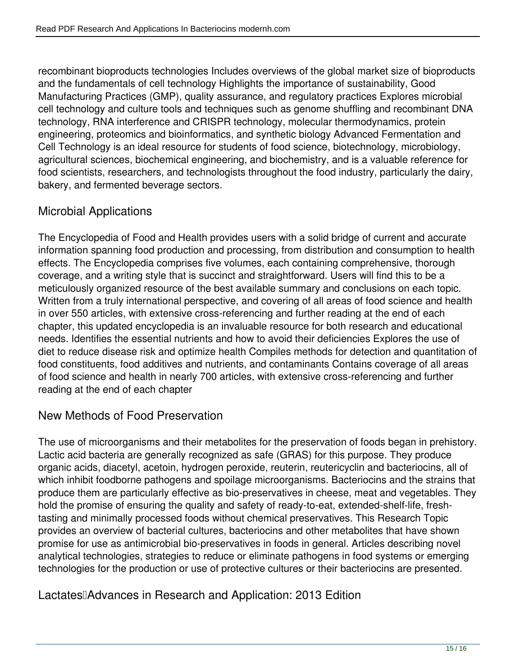recombinant bioproducts technologies Includes overviews of the global market size of bioproducts and the fundamentals of cell technology Highlights the importance of sustainability, Good Manufacturing Practices (GMP), quality assurance, and regulatory practices Explores microbial cell technology and culture tools and techniques such as genome shuffling and recombinant DNA technology, RNA interference and CRISPR technology, molecular thermodynamics, protein engineering, proteomics and bioinformatics, and synthetic biology Advanced Fermentation and Cell Technology is an ideal resource for students of food science, biotechnology, microbiology, agricultural sciences, biochemical engineering, and biochemistry, and is a valuable reference for food scientists, researchers, and technologists throughout the food industry, particularly the dairy, bakery, and fermented beverage sectors.

## **Microbial Applications**

The Encyclopedia of Food and Health provides users with a solid bridge of current and accurate information spanning food production and processing, from distribution and consumption to health effects. The Encyclopedia comprises five volumes, each containing comprehensive, thorough coverage, and a writing style that is succinct and straightforward. Users will find this to be a meticulously organized resource of the best available summary and conclusions on each topic. Written from a truly international perspective, and covering of all areas of food science and health in over 550 articles, with extensive cross-referencing and further reading at the end of each chapter, this updated encyclopedia is an invaluable resource for both research and educational needs. Identifies the essential nutrients and how to avoid their deficiencies Explores the use of diet to reduce disease risk and optimize health Compiles methods for detection and quantitation of food constituents, food additives and nutrients, and contaminants Contains coverage of all areas of food science and health in nearly 700 articles, with extensive cross-referencing and further reading at the end of each chapter

## **New Methods of Food Preservation**

The use of microorganisms and their metabolites for the preservation of foods began in prehistory. Lactic acid bacteria are generally recognized as safe (GRAS) for this purpose. They produce organic acids, diacetyl, acetoin, hydrogen peroxide, reuterin, reutericyclin and bacteriocins, all of which inhibit foodborne pathogens and spoilage microorganisms. Bacteriocins and the strains that produce them are particularly effective as bio-preservatives in cheese, meat and vegetables. They hold the promise of ensuring the quality and safety of ready-to-eat, extended-shelf-life, freshtasting and minimally processed foods without chemical preservatives. This Research Topic provides an overview of bacterial cultures, bacteriocins and other metabolites that have shown promise for use as antimicrobial bio-preservatives in foods in general. Articles describing novel analytical technologies, strategies to reduce or eliminate pathogens in food systems or emerging technologies for the production or use of protective cultures or their bacteriocins are presented.

## Lactates<sup>[]</sup>Advances in Research and Application: 2013 Edition